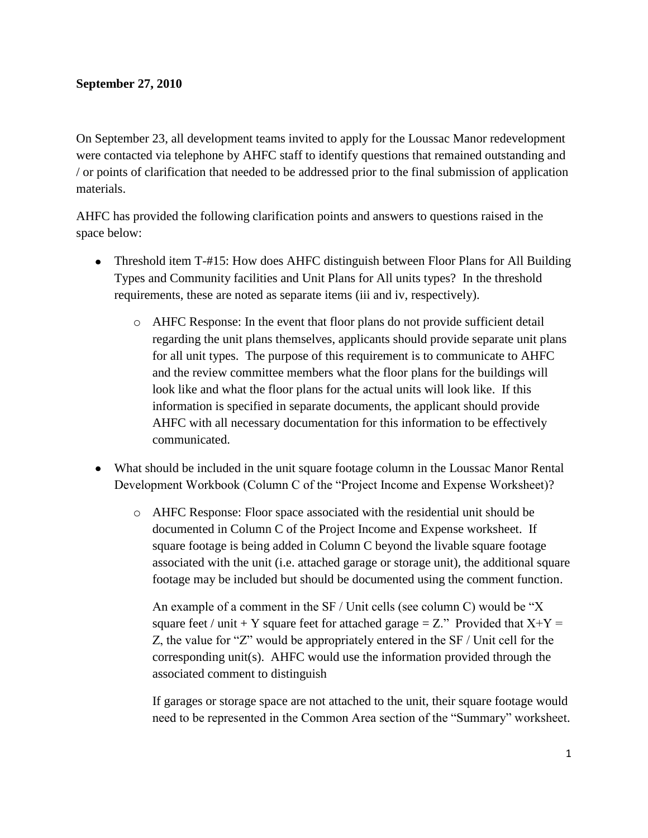## **September 27, 2010**

On September 23, all development teams invited to apply for the Loussac Manor redevelopment were contacted via telephone by AHFC staff to identify questions that remained outstanding and / or points of clarification that needed to be addressed prior to the final submission of application materials.

AHFC has provided the following clarification points and answers to questions raised in the space below:

- Threshold item T-#15: How does AHFC distinguish between Floor Plans for All Building Types and Community facilities and Unit Plans for All units types? In the threshold requirements, these are noted as separate items (iii and iv, respectively).
	- o AHFC Response: In the event that floor plans do not provide sufficient detail regarding the unit plans themselves, applicants should provide separate unit plans for all unit types. The purpose of this requirement is to communicate to AHFC and the review committee members what the floor plans for the buildings will look like and what the floor plans for the actual units will look like. If this information is specified in separate documents, the applicant should provide AHFC with all necessary documentation for this information to be effectively communicated.
- What should be included in the unit square footage column in the Loussac Manor Rental Development Workbook (Column C of the "Project Income and Expense Worksheet)?
	- o AHFC Response: Floor space associated with the residential unit should be documented in Column C of the Project Income and Expense worksheet. If square footage is being added in Column C beyond the livable square footage associated with the unit (i.e. attached garage or storage unit), the additional square footage may be included but should be documented using the comment function.

An example of a comment in the SF / Unit cells (see column C) would be "X square feet / unit + Y square feet for attached garage = Z." Provided that  $X+Y =$ Z, the value for "Z" would be appropriately entered in the SF / Unit cell for the corresponding unit(s). AHFC would use the information provided through the associated comment to distinguish

If garages or storage space are not attached to the unit, their square footage would need to be represented in the Common Area section of the "Summary" worksheet.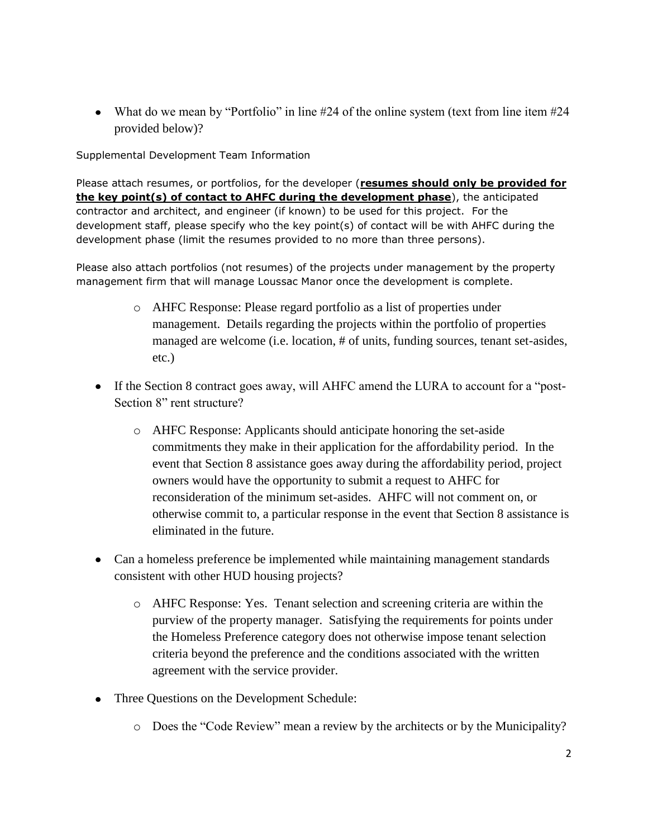• What do we mean by "Portfolio" in line  $\#24$  of the online system (text from line item  $\#24$ provided below)?

Supplemental Development Team Information

Please attach resumes, or portfolios, for the developer (**resumes should only be provided for the key point(s) of contact to AHFC during the development phase**), the anticipated contractor and architect, and engineer (if known) to be used for this project. For the development staff, please specify who the key point(s) of contact will be with AHFC during the development phase (limit the resumes provided to no more than three persons).

Please also attach portfolios (not resumes) of the projects under management by the property management firm that will manage Loussac Manor once the development is complete.

- o AHFC Response: Please regard portfolio as a list of properties under management. Details regarding the projects within the portfolio of properties managed are welcome (i.e. location, # of units, funding sources, tenant set-asides, etc.)
- If the Section 8 contract goes away, will AHFC amend the LURA to account for a "post-Section 8" rent structure?
	- o AHFC Response: Applicants should anticipate honoring the set-aside commitments they make in their application for the affordability period. In the event that Section 8 assistance goes away during the affordability period, project owners would have the opportunity to submit a request to AHFC for reconsideration of the minimum set-asides. AHFC will not comment on, or otherwise commit to, a particular response in the event that Section 8 assistance is eliminated in the future.
- Can a homeless preference be implemented while maintaining management standards consistent with other HUD housing projects?
	- o AHFC Response: Yes. Tenant selection and screening criteria are within the purview of the property manager. Satisfying the requirements for points under the Homeless Preference category does not otherwise impose tenant selection criteria beyond the preference and the conditions associated with the written agreement with the service provider.
- Three Questions on the Development Schedule:
	- o Does the "Code Review" mean a review by the architects or by the Municipality?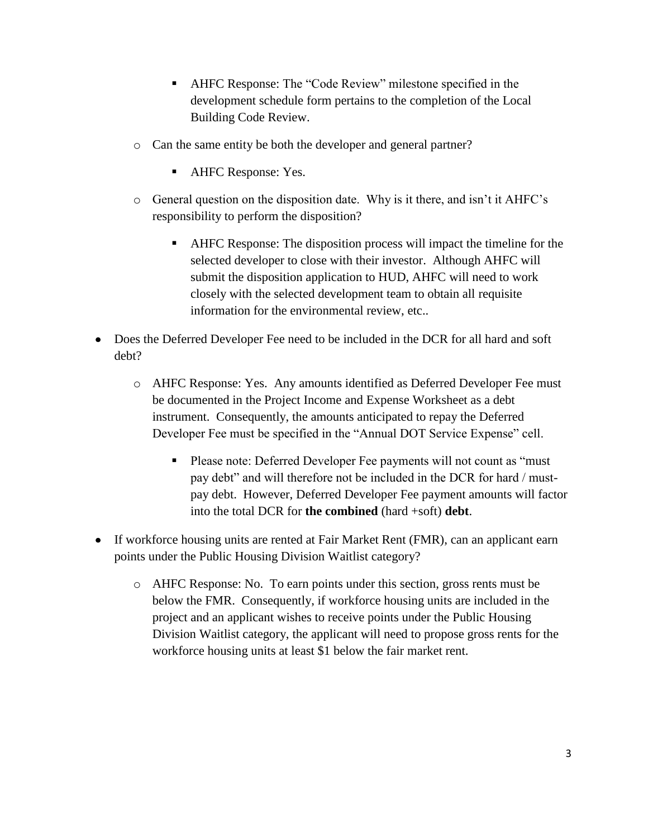- AHFC Response: The "Code Review" milestone specified in the development schedule form pertains to the completion of the Local Building Code Review.
- o Can the same entity be both the developer and general partner?
	- **AHFC Response: Yes.**
- o General question on the disposition date. Why is it there, and isn't it AHFC's responsibility to perform the disposition?
	- AHFC Response: The disposition process will impact the timeline for the selected developer to close with their investor. Although AHFC will submit the disposition application to HUD, AHFC will need to work closely with the selected development team to obtain all requisite information for the environmental review, etc..
- Does the Deferred Developer Fee need to be included in the DCR for all hard and soft debt?
	- o AHFC Response: Yes. Any amounts identified as Deferred Developer Fee must be documented in the Project Income and Expense Worksheet as a debt instrument. Consequently, the amounts anticipated to repay the Deferred Developer Fee must be specified in the "Annual DOT Service Expense" cell.
		- **Please note: Deferred Developer Fee payments will not count as "must"** pay debt" and will therefore not be included in the DCR for hard / mustpay debt. However, Deferred Developer Fee payment amounts will factor into the total DCR for **the combined** (hard +soft) **debt**.
- If workforce housing units are rented at Fair Market Rent (FMR), can an applicant earn points under the Public Housing Division Waitlist category?
	- o AHFC Response: No. To earn points under this section, gross rents must be below the FMR. Consequently, if workforce housing units are included in the project and an applicant wishes to receive points under the Public Housing Division Waitlist category, the applicant will need to propose gross rents for the workforce housing units at least \$1 below the fair market rent.